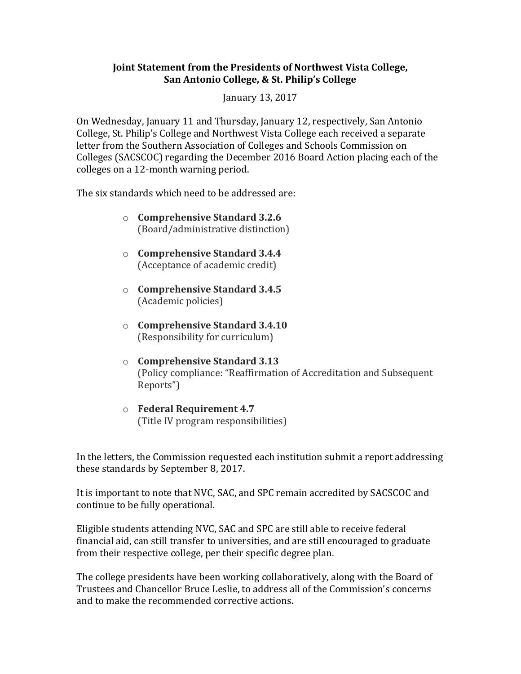## **Joint Statement from the Presidents of Northwest Vista College, San Antonio College, & St. Philip's College**

January 13, 2017

On Wednesday, January 11 and Thursday, January 12, respectively, San Antonio College, St. Philip's College and Northwest Vista College each received a separate letter from the Southern Association of Colleges and Schools Commission on Colleges (SACSCOC) regarding the December 2016 Board Action placing each of the colleges on a 12-month warning period.

The six standards which need to be addressed are:

- o **Comprehensive Standard 3.2.6** (Board/administrative distinction)
- o **Comprehensive Standard 3.4.4** (Acceptance of academic credit)
- o **Comprehensive Standard 3.4.5** (Academic policies)
- o **Comprehensive Standard 3.4.10** (Responsibility for curriculum)
- o **Comprehensive Standard 3.13** (Policy compliance: "Reaffirmation of Accreditation and Subsequent Reports")
- o **Federal Requirement 4.7** (Title IV program responsibilities)

In the letters, the Commission requested each institution submit a report addressing these standards by September 8, 2017.

It is important to note that NVC, SAC, and SPC remain accredited by SACSCOC and continue to be fully operational.

Eligible students attending NVC, SAC and SPC are still able to receive federal financial aid, can still transfer to universities, and are still encouraged to graduate from their respective college, per their specific degree plan.

The college presidents have been working collaboratively, along with the Board of Trustees and Chancellor Bruce Leslie, to address all of the Commission's concerns and to make the recommended corrective actions.